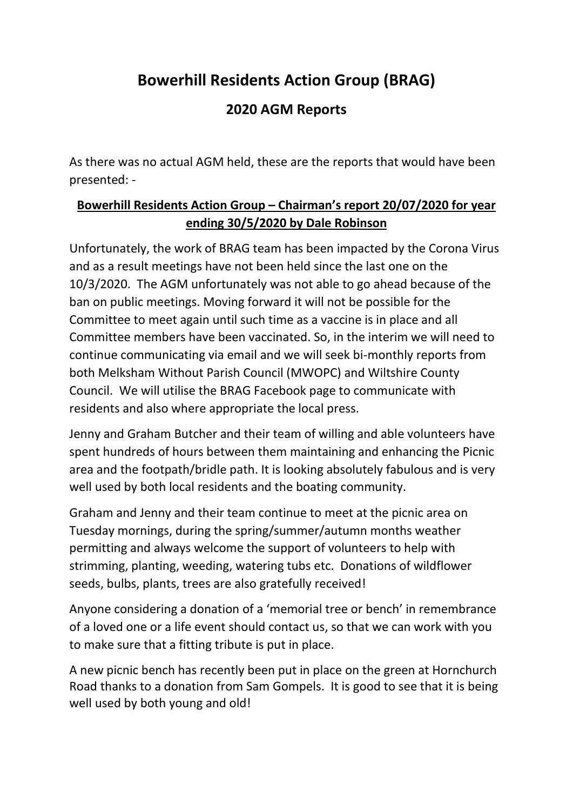# **Bowerhill Residents Action Group (BRAG)**

## **2020 AGM Reports**

As there was no actual AGM held, these are the reports that would have been presented: -

## **Bowerhill Residents Action Group – Chairman's report 20/07/2020 for year ending 30/5/2020 by Dale Robinson**

Unfortunately, the work of BRAG team has been impacted by the Corona Virus and as a result meetings have not been held since the last one on the 10/3/2020. The AGM unfortunately was not able to go ahead because of the ban on public meetings. Moving forward it will not be possible for the Committee to meet again until such time as a vaccine is in place and all Committee members have been vaccinated. So, in the interim we will need to continue communicating via email and we will seek bi-monthly reports from both Melksham Without Parish Council (MWOPC) and Wiltshire County Council. We will utilise the BRAG Facebook page to communicate with residents and also where appropriate the local press.

Jenny and Graham Butcher and their team of willing and able volunteers have spent hundreds of hours between them maintaining and enhancing the Picnic area and the footpath/bridle path. It is looking absolutely fabulous and is very well used by both local residents and the boating community.

Graham and Jenny and their team continue to meet at the picnic area on Tuesday mornings, during the spring/summer/autumn months weather permitting and always welcome the support of volunteers to help with strimming, planting, weeding, watering tubs etc. Donations of wildflower seeds, bulbs, plants, trees are also gratefully received!

Anyone considering a donation of a 'memorial tree or bench' in remembrance of a loved one or a life event should contact us, so that we can work with you to make sure that a fitting tribute is put in place.

A new picnic bench has recently been put in place on the green at Hornchurch Road thanks to a donation from Sam Gompels. It is good to see that it is being well used by both young and old!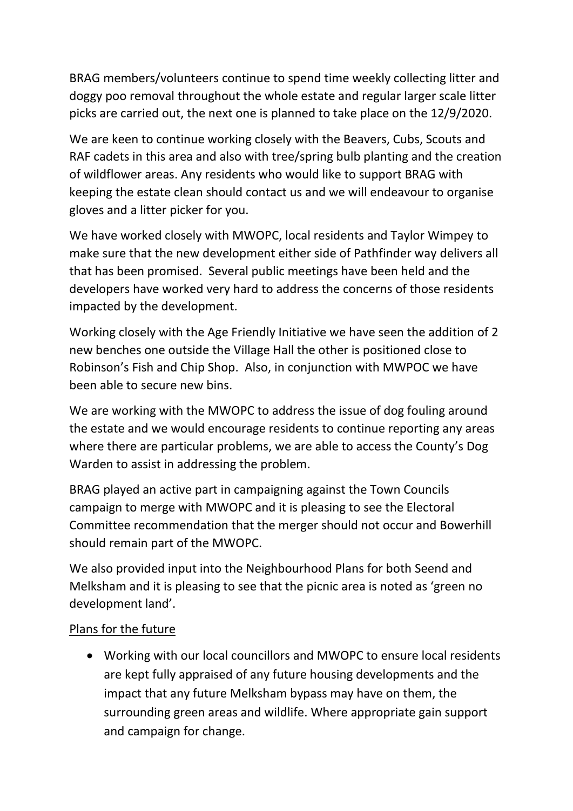BRAG members/volunteers continue to spend time weekly collecting litter and doggy poo removal throughout the whole estate and regular larger scale litter picks are carried out, the next one is planned to take place on the 12/9/2020.

We are keen to continue working closely with the Beavers, Cubs, Scouts and RAF cadets in this area and also with tree/spring bulb planting and the creation of wildflower areas. Any residents who would like to support BRAG with keeping the estate clean should contact us and we will endeavour to organise gloves and a litter picker for you.

We have worked closely with MWOPC, local residents and Taylor Wimpey to make sure that the new development either side of Pathfinder way delivers all that has been promised. Several public meetings have been held and the developers have worked very hard to address the concerns of those residents impacted by the development.

Working closely with the Age Friendly Initiative we have seen the addition of 2 new benches one outside the Village Hall the other is positioned close to Robinson's Fish and Chip Shop. Also, in conjunction with MWPOC we have been able to secure new bins.

We are working with the MWOPC to address the issue of dog fouling around the estate and we would encourage residents to continue reporting any areas where there are particular problems, we are able to access the County's Dog Warden to assist in addressing the problem.

BRAG played an active part in campaigning against the Town Councils campaign to merge with MWOPC and it is pleasing to see the Electoral Committee recommendation that the merger should not occur and Bowerhill should remain part of the MWOPC.

We also provided input into the Neighbourhood Plans for both Seend and Melksham and it is pleasing to see that the picnic area is noted as 'green no development land'.

## Plans for the future

• Working with our local councillors and MWOPC to ensure local residents are kept fully appraised of any future housing developments and the impact that any future Melksham bypass may have on them, the surrounding green areas and wildlife. Where appropriate gain support and campaign for change.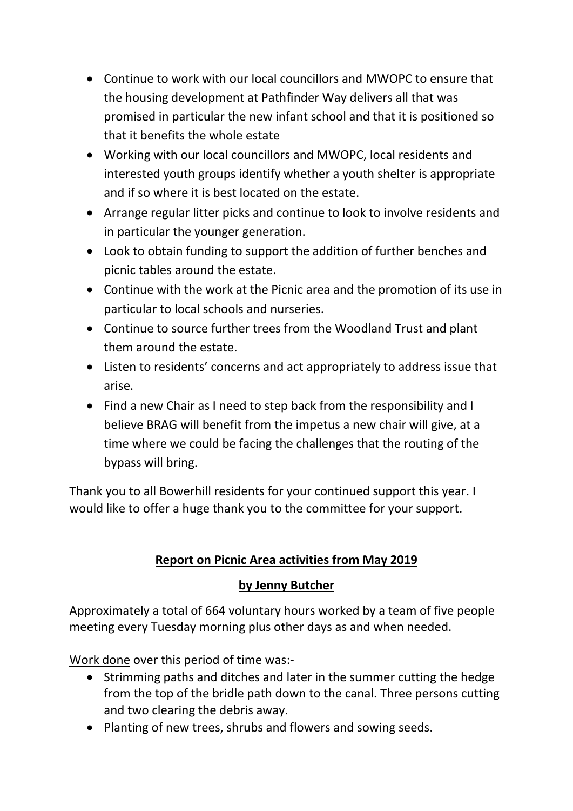- Continue to work with our local councillors and MWOPC to ensure that the housing development at Pathfinder Way delivers all that was promised in particular the new infant school and that it is positioned so that it benefits the whole estate
- Working with our local councillors and MWOPC, local residents and interested youth groups identify whether a youth shelter is appropriate and if so where it is best located on the estate.
- Arrange regular litter picks and continue to look to involve residents and in particular the younger generation.
- Look to obtain funding to support the addition of further benches and picnic tables around the estate.
- Continue with the work at the Picnic area and the promotion of its use in particular to local schools and nurseries.
- Continue to source further trees from the Woodland Trust and plant them around the estate.
- Listen to residents' concerns and act appropriately to address issue that arise.
- Find a new Chair as I need to step back from the responsibility and I believe BRAG will benefit from the impetus a new chair will give, at a time where we could be facing the challenges that the routing of the bypass will bring.

Thank you to all Bowerhill residents for your continued support this year. I would like to offer a huge thank you to the committee for your support.

## **Report on Picnic Area activities from May 2019**

## **by Jenny Butcher**

Approximately a total of 664 voluntary hours worked by a team of five people meeting every Tuesday morning plus other days as and when needed.

Work done over this period of time was:-

- Strimming paths and ditches and later in the summer cutting the hedge from the top of the bridle path down to the canal. Three persons cutting and two clearing the debris away.
- Planting of new trees, shrubs and flowers and sowing seeds.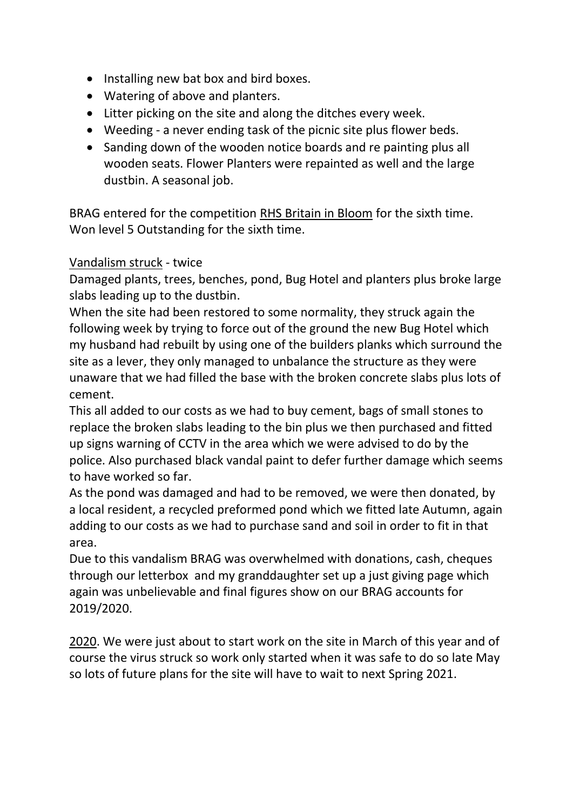- Installing new bat box and bird boxes.
- Watering of above and planters.
- Litter picking on the site and along the ditches every week.
- Weeding a never ending task of the picnic site plus flower beds.
- Sanding down of the wooden notice boards and re painting plus all wooden seats. Flower Planters were repainted as well and the large dustbin. A seasonal job.

BRAG entered for the competition RHS Britain in Bloom for the sixth time. Won level 5 Outstanding for the sixth time.

#### Vandalism struck - twice

Damaged plants, trees, benches, pond, Bug Hotel and planters plus broke large slabs leading up to the dustbin.

When the site had been restored to some normality, they struck again the following week by trying to force out of the ground the new Bug Hotel which my husband had rebuilt by using one of the builders planks which surround the site as a lever, they only managed to unbalance the structure as they were unaware that we had filled the base with the broken concrete slabs plus lots of cement.

This all added to our costs as we had to buy cement, bags of small stones to replace the broken slabs leading to the bin plus we then purchased and fitted up signs warning of CCTV in the area which we were advised to do by the police. Also purchased black vandal paint to defer further damage which seems to have worked so far.

As the pond was damaged and had to be removed, we were then donated, by a local resident, a recycled preformed pond which we fitted late Autumn, again adding to our costs as we had to purchase sand and soil in order to fit in that area.

Due to this vandalism BRAG was overwhelmed with donations, cash, cheques through our letterbox and my granddaughter set up a just giving page which again was unbelievable and final figures show on our BRAG accounts for 2019/2020.

2020. We were just about to start work on the site in March of this year and of course the virus struck so work only started when it was safe to do so late May so lots of future plans for the site will have to wait to next Spring 2021.